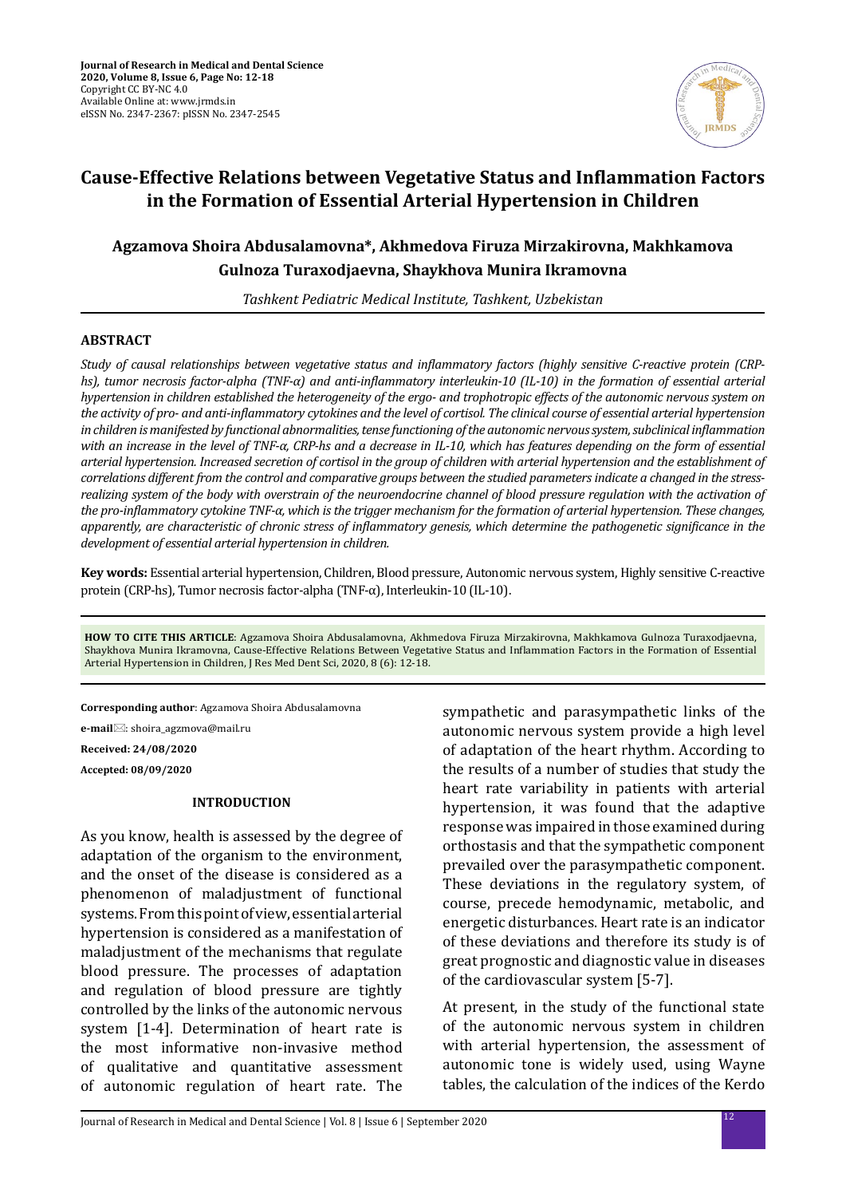

# **Cause-Effective Relations between Vegetative Status and Inflammation Factors in the Formation of Essential Arterial Hypertension in Children**

## **Agzamova Shoira Abdusalamovna\*, Akhmedova Firuza Mirzakirovna, Makhkamova Gulnoza Turaxodjaevna, Shaykhova Munira Ikramovna**

*Tashkent Pediatric Medical Institute, Tashkent, Uzbekistan*

## **ABSTRACT**

*Study of causal relationships between vegetative status and inflammatory factors (highly sensitive C-reactive protein (CRPhs), tumor necrosis factor-alpha (TNF-α) and anti-inflammatory interleukin-10 (IL-10) in the formation of essential arterial hypertension in children established the heterogeneity of the ergo- and trophotropic effects of the autonomic nervous system on the activity of pro- and anti-inflammatory cytokines and the level of cortisol. The clinical course of essential arterial hypertension in children is manifested by functional abnormalities, tense functioning of the autonomic nervous system, subclinical inflammation with an increase in the level of TNF-α, CRP-hs and a decrease in IL-10, which has features depending on the form of essential arterial hypertension. Increased secretion of cortisol in the group of children with arterial hypertension and the establishment of correlations different from the control and comparative groups between the studied parameters indicate a changed in the stressrealizing system of the body with overstrain of the neuroendocrine channel of blood pressure regulation with the activation of the pro-inflammatory cytokine TNF-α, which is the trigger mechanism for the formation of arterial hypertension. These changes, apparently, are characteristic of chronic stress of inflammatory genesis, which determine the pathogenetic significance in the development of essential arterial hypertension in children.*

**Key words:** Essential arterial hypertension, Children, Blood pressure, Autonomic nervous system, Highly sensitive C-reactive protein (CRP-hs), Tumor necrosis factor-alpha (TNF-α), Interleukin-10 (IL-10).

**HOW TO CITE THIS ARTICLE**: Agzamova Shoira Abdusalamovna, Akhmedova Firuza Mirzakirovna, Makhkamova Gulnoza Turaxodjaevna, Shaykhova Munira Ikramovna, Cause-Effective Relations Between Vegetative Status and Inflammation Factors in the Formation of Essential Arterial Hypertension in Children, J Res Med Dent Sci, 2020, 8 (6): 12-18.

**Corresponding author**: Agzamova Shoira Abdusalamovna

**e-mail** $⊠$ : shoira\_agzmova@mail.ru

**Received: 24/08/2020 Accepted: 08/09/2020**

## **INTRODUCTION**

As you know, health is assessed by the degree of adaptation of the organism to the environment, and the onset of the disease is considered as a phenomenon of maladjustment of functional systems. From this point of view, essential arterial hypertension is considered as a manifestation of maladjustment of the mechanisms that regulate blood pressure. The processes of adaptation and regulation of blood pressure are tightly controlled by the links of the autonomic nervous system [1-4]. Determination of heart rate is the most informative non-invasive method of qualitative and quantitative assessment of autonomic regulation of heart rate. The sympathetic and parasympathetic links of the autonomic nervous system provide a high level of adaptation of the heart rhythm. According to the results of a number of studies that study the heart rate variability in patients with arterial hypertension, it was found that the adaptive response was impaired in those examined during orthostasis and that the sympathetic component prevailed over the parasympathetic component. These deviations in the regulatory system, of course, precede hemodynamic, metabolic, and energetic disturbances. Heart rate is an indicator of these deviations and therefore its study is of great prognostic and diagnostic value in diseases of the cardiovascular system [5-7].

At present, in the study of the functional state of the autonomic nervous system in children with arterial hypertension, the assessment of autonomic tone is widely used, using Wayne tables, the calculation of the indices of the Kerdo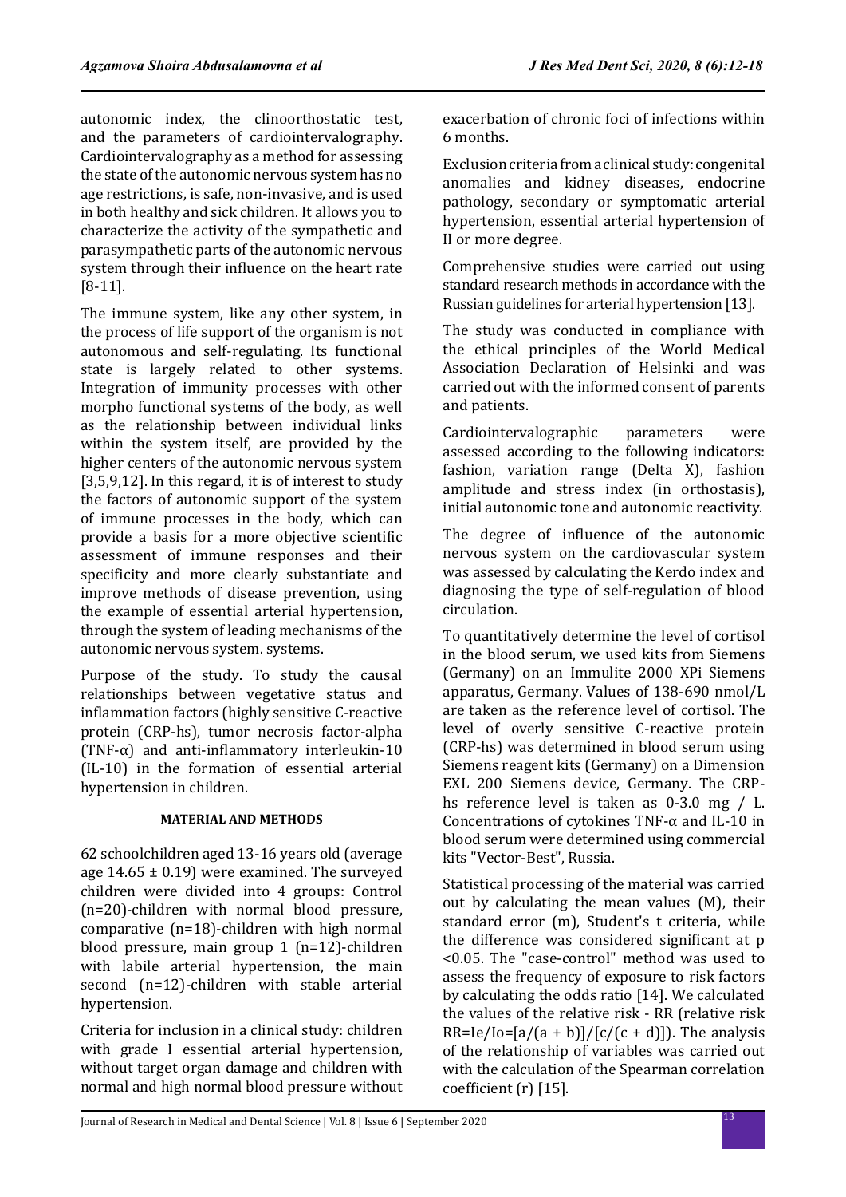autonomic index, the clinoorthostatic test, and the parameters of cardiointervalography. Cardiointervalography as a method for assessing the state of the autonomic nervous system has no age restrictions, is safe, non-invasive, and is used in both healthy and sick children. It allows you to characterize the activity of the sympathetic and parasympathetic parts of the autonomic nervous system through their influence on the heart rate [8-11].

The immune system, like any other system, in the process of life support of the organism is not autonomous and self-regulating. Its functional state is largely related to other systems. Integration of immunity processes with other morpho functional systems of the body, as well as the relationship between individual links within the system itself, are provided by the higher centers of the autonomic nervous system [3,5,9,12]. In this regard, it is of interest to study the factors of autonomic support of the system of immune processes in the body, which can provide a basis for a more objective scientific assessment of immune responses and their specificity and more clearly substantiate and improve methods of disease prevention, using the example of essential arterial hypertension, through the system of leading mechanisms of the autonomic nervous system. systems.

Purpose of the study. To study the causal relationships between vegetative status and inflammation factors (highly sensitive C-reactive protein (CRP-hs), tumor necrosis factor-alpha (TNF- $\alpha$ ) and anti-inflammatory interleukin-10 (IL-10) in the formation of essential arterial hypertension in children.

## **MATERIAL AND METHODS**

62 schoolchildren aged 13-16 years old (average age  $14.65 \pm 0.19$ ) were examined. The surveyed children were divided into 4 groups: Control (n=20)-children with normal blood pressure, comparative (n=18)-children with high normal blood pressure, main group 1 (n=12)-children with labile arterial hypertension, the main second (n=12)-children with stable arterial hypertension.

Criteria for inclusion in a clinical study: children with grade I essential arterial hypertension, without target organ damage and children with normal and high normal blood pressure without exacerbation of chronic foci of infections within 6 months.

Exclusion criteria from a clinical study: congenital anomalies and kidney diseases, endocrine pathology, secondary or symptomatic arterial hypertension, essential arterial hypertension of II or more degree.

Comprehensive studies were carried out using standard research methods in accordance with the Russian guidelines for arterial hypertension [13].

The study was conducted in compliance with the ethical principles of the World Medical Association Declaration of Helsinki and was carried out with the informed consent of parents and patients.

Cardiointervalographic parameters were assessed according to the following indicators: fashion, variation range (Delta X), fashion amplitude and stress index (in orthostasis), initial autonomic tone and autonomic reactivity.

The degree of influence of the autonomic nervous system on the cardiovascular system was assessed by calculating the Kerdo index and diagnosing the type of self-regulation of blood circulation.

To quantitatively determine the level of cortisol in the blood serum, we used kits from Siemens (Germany) on an Immulite 2000 XPi Siemens apparatus, Germany. Values of 138-690 nmol/L are taken as the reference level of cortisol. The level of overly sensitive C-reactive protein (CRP-hs) was determined in blood serum using Siemens reagent kits (Germany) on a Dimension EXL 200 Siemens device, Germany. The CRPhs reference level is taken as 0-3.0 mg / L. Concentrations of cytokines TNF-α and IL-10 in blood serum were determined using commercial kits "Vector-Best", Russia.

Statistical processing of the material was carried out by calculating the mean values (M), their standard error (m), Student's t criteria, while the difference was considered significant at p <0.05. The "case-control" method was used to assess the frequency of exposure to risk factors by calculating the odds ratio [14]. We calculated the values of the relative risk - RR (relative risk  $RR=Ie/Io=[a/(a + b)]/[c/(c + d)]$ . The analysis of the relationship of variables was carried out with the calculation of the Spearman correlation coefficient (r) [15].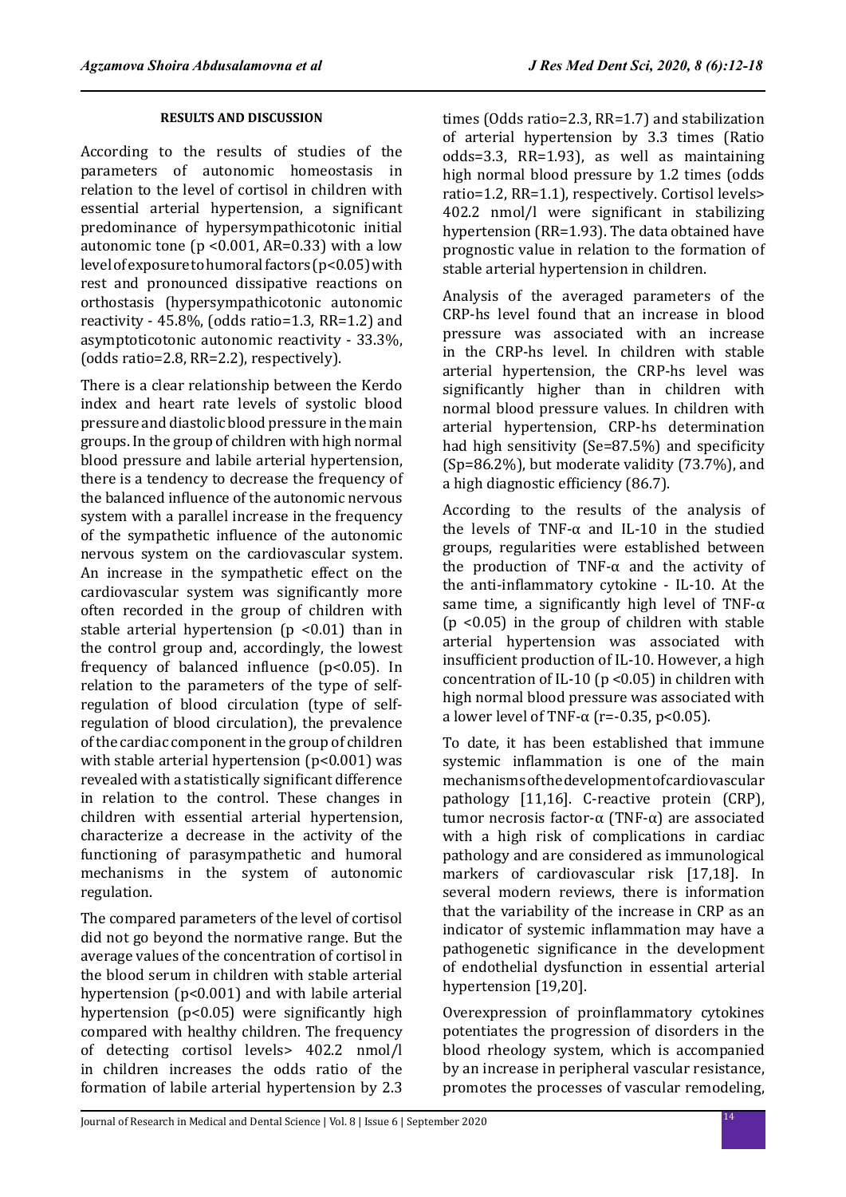## **RESULTS AND DISCUSSION**

According to the results of studies of the parameters of autonomic homeostasis in relation to the level of cortisol in children with essential arterial hypertension, a significant predominance of hypersympathicotonic initial autonomic tone ( $p$  <0.001, AR=0.33) with a low level of exposure to humoral factors (p<0.05) with rest and pronounced dissipative reactions on orthostasis (hypersympathicotonic autonomic reactivity - 45.8%, (odds ratio=1.3, RR=1.2) and asymptoticotonic autonomic reactivity - 33.3%, (odds ratio=2.8, RR=2.2), respectively).

There is a clear relationship between the Kerdo index and heart rate levels of systolic blood pressure and diastolic blood pressure in the main groups. In the group of children with high normal blood pressure and labile arterial hypertension, there is a tendency to decrease the frequency of the balanced influence of the autonomic nervous system with a parallel increase in the frequency of the sympathetic influence of the autonomic nervous system on the cardiovascular system. An increase in the sympathetic effect on the cardiovascular system was significantly more often recorded in the group of children with stable arterial hypertension ( $p$  <0.01) than in the control group and, accordingly, the lowest frequency of balanced influence (p<0.05). In relation to the parameters of the type of selfregulation of blood circulation (type of selfregulation of blood circulation), the prevalence of the cardiac component in the group of children with stable arterial hypertension (p<0.001) was revealed with a statistically significant difference in relation to the control. These changes in children with essential arterial hypertension, characterize a decrease in the activity of the functioning of parasympathetic and humoral mechanisms in the system of autonomic regulation.

The compared parameters of the level of cortisol did not go beyond the normative range. But the average values of the concentration of cortisol in the blood serum in children with stable arterial hypertension (p<0.001) and with labile arterial hypertension (p<0.05) were significantly high compared with healthy children. The frequency of detecting cortisol levels> 402.2 nmol/l in children increases the odds ratio of the formation of labile arterial hypertension by 2.3 times (Odds ratio=2.3, RR=1.7) and stabilization of arterial hypertension by 3.3 times (Ratio odds=3.3, RR=1.93), as well as maintaining high normal blood pressure by 1.2 times (odds ratio=1.2, RR=1.1), respectively. Cortisol levels> 402.2 nmol/l were significant in stabilizing hypertension (RR=1.93). The data obtained have prognostic value in relation to the formation of stable arterial hypertension in children.

Analysis of the averaged parameters of the CRP-hs level found that an increase in blood pressure was associated with an increase in the CRP-hs level. In children with stable arterial hypertension, the CRP-hs level was significantly higher than in children with normal blood pressure values. In children with arterial hypertension, CRP-hs determination had high sensitivity (Se=87.5%) and specificity (Sp=86.2%), but moderate validity (73.7%), and a high diagnostic efficiency (86.7).

According to the results of the analysis of the levels of TNF-α and IL-10 in the studied groups, regularities were established between the production of TNF- $\alpha$  and the activity of the anti-inflammatory cytokine - IL-10. At the same time, a significantly high level of TNF- $\alpha$ (p <0.05) in the group of children with stable arterial hypertension was associated with insufficient production of IL-10. However, a high concentration of IL-10 ( $p$  < 0.05) in children with high normal blood pressure was associated with a lower level of TNF- $\alpha$  (r=-0.35, p<0.05).

To date, it has been established that immune systemic inflammation is one of the main mechanisms of the development of cardiovascular pathology [11,16]. C-reactive protein (CRP), tumor necrosis factor-α (TNF-α) are associated with a high risk of complications in cardiac pathology and are considered as immunological markers of cardiovascular risk [17,18]. In several modern reviews, there is information that the variability of the increase in CRP as an indicator of systemic inflammation may have a pathogenetic significance in the development of endothelial dysfunction in essential arterial hypertension [19,20].

Overexpression of proinflammatory cytokines potentiates the progression of disorders in the blood rheology system, which is accompanied by an increase in peripheral vascular resistance, promotes the processes of vascular remodeling,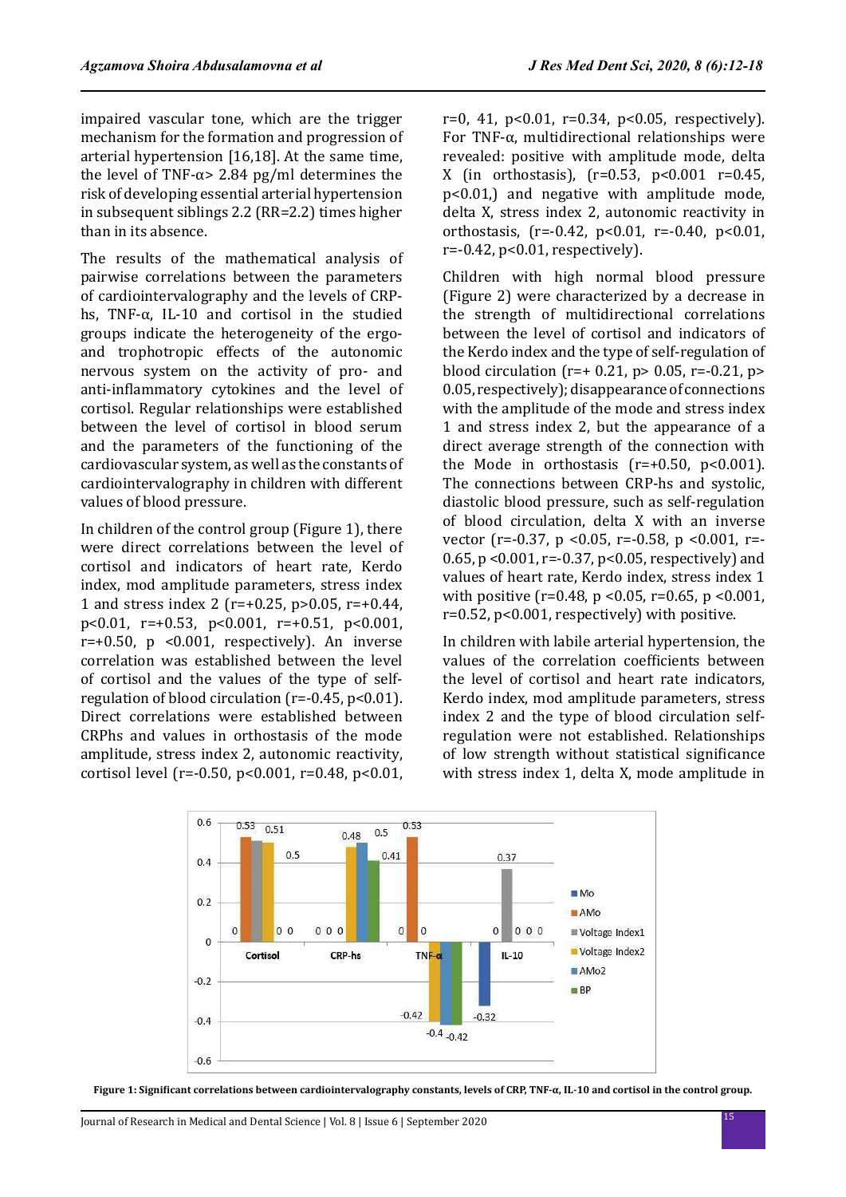impaired vascular tone, which are the trigger mechanism for the formation and progression of arterial hypertension [16,18]. At the same time, the level of TNF- $α$ > 2.84 pg/ml determines the risk of developing essential arterial hypertension in subsequent siblings 2.2 (RR=2.2) times higher than in its absence.

The results of the mathematical analysis of pairwise correlations between the parameters of cardiointervalography and the levels of CRPhs, TNF- $\alpha$ , IL-10 and cortisol in the studied groups indicate the heterogeneity of the ergoand trophotropic effects of the autonomic nervous system on the activity of pro- and anti-inflammatory cytokines and the level of cortisol. Regular relationships were established between the level of cortisol in blood serum and the parameters of the functioning of the cardiovascular system, as well as the constants of cardiointervalography in children with different values of blood pressure.

In children of the control group (Figure 1), there were direct correlations between the level of cortisol and indicators of heart rate, Kerdo index, mod amplitude parameters, stress index 1 and stress index 2 (r=+0.25, p>0.05, r=+0.44, p<0.01, r=+0.53, p<0.001, r=+0.51, p<0.001,  $r=+0.50$ , p < $0.001$ , respectively). An inverse correlation was established between the level of cortisol and the values of the type of selfregulation of blood circulation (r=-0.45, p<0.01). Direct correlations were established between CRPhs and values in orthostasis of the mode amplitude, stress index 2, autonomic reactivity, cortisol level (r=-0.50, p<0.001, r=0.48, p<0.01, r=0, 41, p<0.01, r=0.34, p<0.05, respectively). For TNF-α, multidirectional relationships were revealed: positive with amplitude mode, delta X (in orthostasis), (r=0.53, p<0.001 r=0.45, p<0.01,) and negative with amplitude mode, delta X, stress index 2, autonomic reactivity in orthostasis, (r=-0.42, p<0.01, r=-0.40, p<0.01, r=-0.42, p<0.01, respectively).

Children with high normal blood pressure (Figure 2) were characterized by a decrease in the strength of multidirectional correlations between the level of cortisol and indicators of the Kerdo index and the type of self-regulation of blood circulation ( $r=+0.21$ ,  $p>0.05$ ,  $r=-0.21$ ,  $p>$ 0.05, respectively); disappearance of connections with the amplitude of the mode and stress index 1 and stress index 2, but the appearance of a direct average strength of the connection with the Mode in orthostasis  $(r=+0.50, p<0.001)$ . The connections between CRP-hs and systolic, diastolic blood pressure, such as self-regulation of blood circulation, delta X with an inverse vector (r=-0.37, p <0.05, r=-0.58, p <0.001, r=- 0.65, p <0.001, r=-0.37, p<0.05, respectively) and values of heart rate, Kerdo index, stress index 1 with positive ( $r=0.48$ ,  $p < 0.05$ ,  $r=0.65$ ,  $p < 0.001$ , r=0.52, p<0.001, respectively) with positive.

In children with labile arterial hypertension, the values of the correlation coefficients between the level of cortisol and heart rate indicators, Kerdo index, mod amplitude parameters, stress index 2 and the type of blood circulation selfregulation were not established. Relationships of low strength without statistical significance with stress index 1, delta X, mode amplitude in



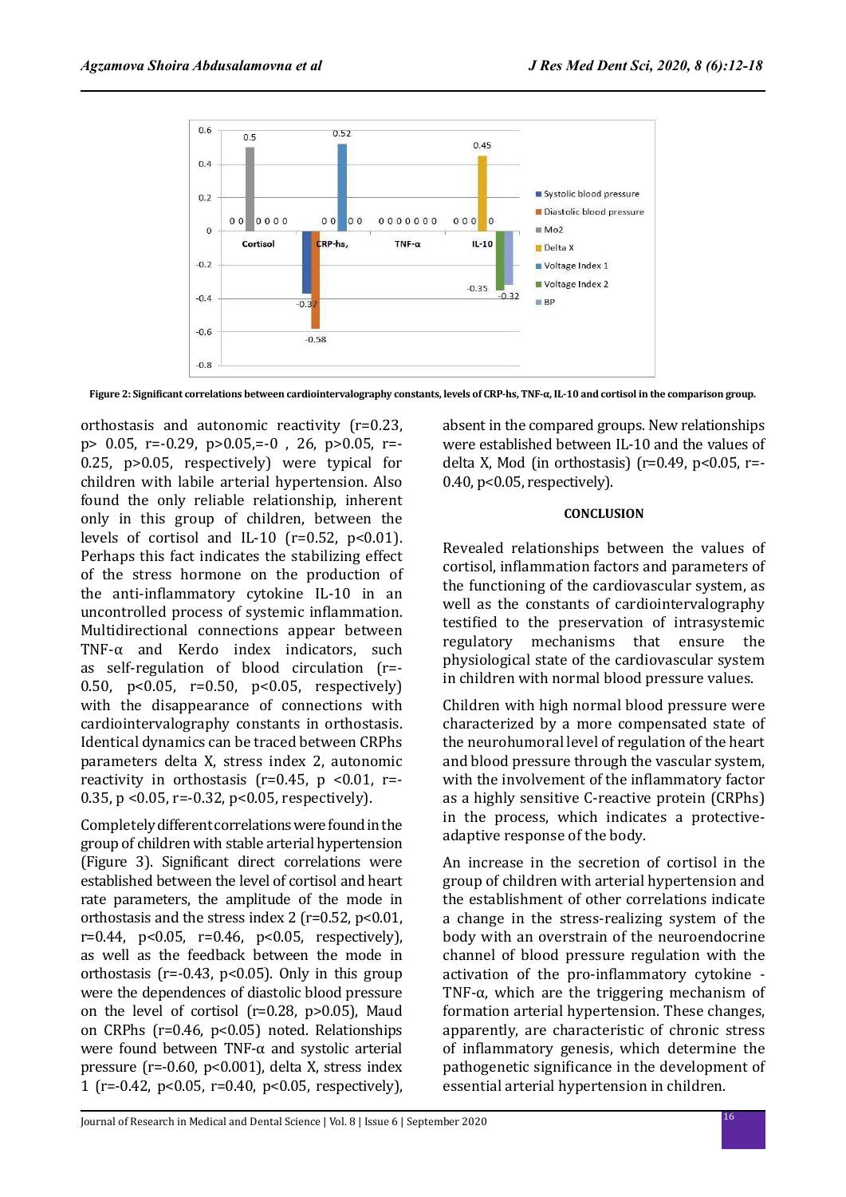

**Figure 2: Significant correlations between cardiointervalography constants, levels of CRP-hs, TNF-α, IL-10 and cortisol in the comparison group.**

orthostasis and autonomic reactivity (r=0.23, p> 0.05, r=-0.29, p>0.05,=-0 , 26, p>0.05, r=- 0.25, p>0.05, respectively) were typical for children with labile arterial hypertension. Also found the only reliable relationship, inherent only in this group of children, between the levels of cortisol and IL-10 ( $r=0.52$ ,  $p<0.01$ ). Perhaps this fact indicates the stabilizing effect of the stress hormone on the production of the anti-inflammatory cytokine IL-10 in an uncontrolled process of systemic inflammation. Multidirectional connections appear between TNF- $\alpha$  and Kerdo index indicators, such as self-regulation of blood circulation (r=- 0.50, p<0.05, r=0.50, p<0.05, respectively) with the disappearance of connections with cardiointervalography constants in orthostasis. Identical dynamics can be traced between CRPhs parameters delta X, stress index 2, autonomic reactivity in orthostasis ( $r=0.45$ ,  $p < 0.01$ ,  $r=$ 0.35, p <0.05, r=-0.32, p<0.05, respectively).

Completely different correlations were found in the group of children with stable arterial hypertension (Figure 3). Significant direct correlations were established between the level of cortisol and heart rate parameters, the amplitude of the mode in orthostasis and the stress index 2 ( $r=0.52$ ,  $p<0.01$ ,  $r=0.44$ ,  $p<0.05$ ,  $r=0.46$ ,  $p<0.05$ , respectively), as well as the feedback between the mode in orthostasis ( $r = -0.43$ ,  $p < 0.05$ ). Only in this group were the dependences of diastolic blood pressure on the level of cortisol (r=0.28, p>0.05), Maud on CRPhs (r=0.46, p<0.05) noted. Relationships were found between TNF- $\alpha$  and systolic arterial pressure (r=-0.60, p<0.001), delta X, stress index 1 (r=-0.42, p<0.05, r=0.40, p<0.05, respectively), absent in the compared groups. New relationships were established between IL-10 and the values of delta X, Mod (in orthostasis) ( $r=0.49$ ,  $p<0.05$ ,  $r=$ 0.40, p<0.05, respectively).

#### **CONCLUSION**

Revealed relationships between the values of cortisol, inflammation factors and parameters of the functioning of the cardiovascular system, as well as the constants of cardiointervalography testified to the preservation of intrasystemic regulatory mechanisms that ensure the physiological state of the cardiovascular system in children with normal blood pressure values.

Children with high normal blood pressure were characterized by a more compensated state of the neurohumoral level of regulation of the heart and blood pressure through the vascular system, with the involvement of the inflammatory factor as a highly sensitive C-reactive protein (CRPhs) in the process, which indicates a protectiveadaptive response of the body.

An increase in the secretion of cortisol in the group of children with arterial hypertension and the establishment of other correlations indicate a change in the stress-realizing system of the body with an overstrain of the neuroendocrine channel of blood pressure regulation with the activation of the pro-inflammatory cytokine - TNF- $\alpha$ , which are the triggering mechanism of formation arterial hypertension. These changes, apparently, are characteristic of chronic stress of inflammatory genesis, which determine the pathogenetic significance in the development of essential arterial hypertension in children.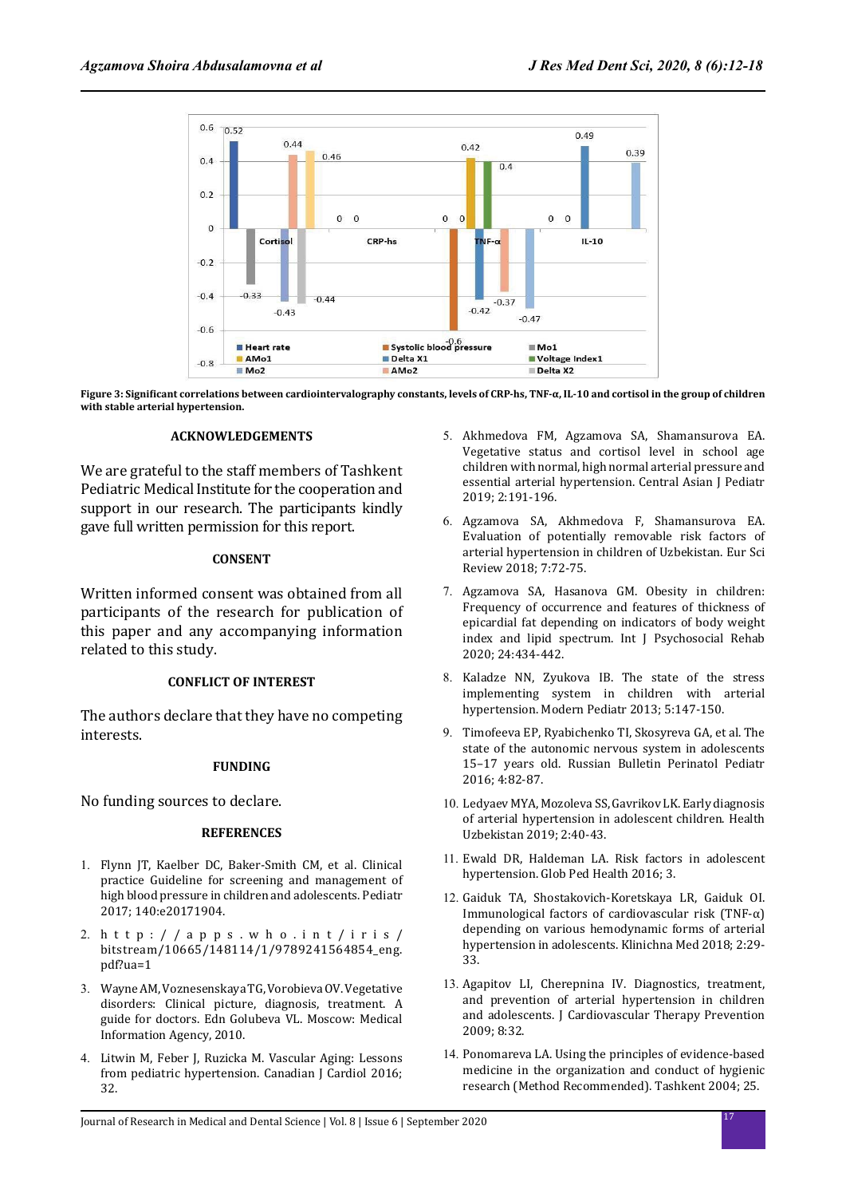

**Figure 3: Significant correlations between cardiointervalography constants, levels of CRP-hs, TNF-α, IL-10 and cortisol in the group of children with stable arterial hypertension.**

#### **ACKNOWLEDGEMENTS**

We are grateful to the staff members of Tashkent Pediatric Medical Institute for the cooperation and support in our research. The participants kindly gave full written permission for this report.

#### **CONSENT**

Written informed consent was obtained from all participants of the research for publication of this paper and any accompanying information related to this study.

#### **CONFLICT OF INTEREST**

The authors declare that they have no competing interests.

#### **FUNDING**

No funding sources to declare.

#### **REFERENCES**

- 1. Flynn JT, Kaelber DC, Baker-Smith CM, et al. Clinical practice Guideline for screening and management of high blood pressure in children and adolescents. Pediatr 2017; 140:e20171904.
- 2. http://apps.who.int/iris/ bitstream/10665/148114/1/9789241564854\_eng. pdf?ua=1
- 3. Wayne AM, Voznesenskaya TG, Vorobieva OV. Vegetative disorders: Clinical picture, diagnosis, treatment. A guide for doctors. Edn Golubeva VL. Moscow: Medical Information Agency, 2010.
- 4. Litwin M, Feber J, Ruzicka M. Vascular Aging: Lessons from pediatric hypertension. Canadian J Cardiol 2016; 32.
- 5. Akhmedova FM, Agzamova SA, Shamansurova EA. Vegetative status and cortisol level in school age children with normal, high normal arterial pressure and essential arterial hypertension. Central Asian J Pediatr 2019; 2:191-196.
- 6. Agzamova SA, Akhmedova F, Shamansurova EA. Evaluation of potentially removable risk factors of arterial hypertension in children of Uzbekistan. Eur Sci Review 2018; 7:72-75.
- 7. Agzamova SA, Hasanova GM. Obesity in children: Frequency of occurrence and features of thickness of epicardial fat depending on indicators of body weight index and lipid spectrum. Int J Psychosocial Rehab 2020; 24:434-442.
- 8. Kaladze NN, Zyukova IB. The state of the stress implementing system in children with arterial hypertension. Modern Pediatr 2013; 5:147-150.
- 9. Timofeeva EP, Ryabichenko TI, Skosyreva GA, et al. The state of the autonomic nervous system in adolescents 15–17 years old. Russian Bulletin Perinatol Pediatr 2016; 4:82-87.
- 10. Ledyaev MYA, Mozoleva SS, Gavrikov LK. Early diagnosis of arterial hypertension in adolescent children. Health Uzbekistan 2019; 2:40-43.
- 11. Ewald DR, Haldeman LA. Risk factors in adolescent hypertension. Glob Ped Health 2016; 3.
- 12. Gaiduk TA, Shostakovich-Koretskaya LR, Gaiduk OI. Immunological factors of cardiovascular risk (TNF- $\alpha$ ) depending on various hemodynamic forms of arterial hypertension in adolescents. Klinichna Med 2018; 2:29- 33.
- 13. Agapitov LI, Cherepnina IV. Diagnostics, treatment, and prevention of arterial hypertension in children and adolescents. J Cardiovascular Therapy Prevention 2009; 8:32.
- 14. Ponomareva LA. Using the principles of evidence-based medicine in the organization and conduct of hygienic research (Method Recommended). Tashkent 2004; 25.